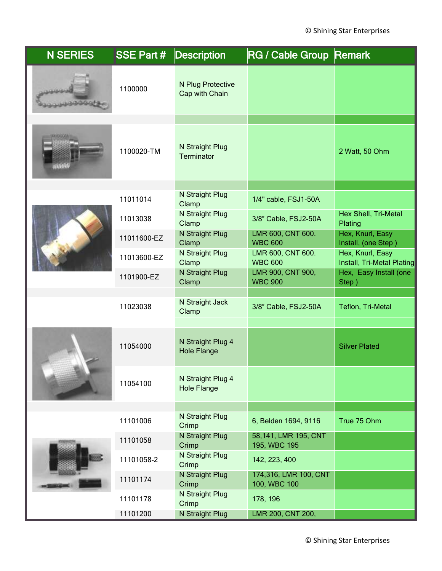| <b>N SERIES</b> | <b>SSE Part #</b>    | <b>Description</b>                          | RG / Cable Group Remark                      |                                                    |
|-----------------|----------------------|---------------------------------------------|----------------------------------------------|----------------------------------------------------|
|                 | 1100000              | N Plug Protective<br>Cap with Chain         |                                              |                                                    |
|                 | 1100020-TM           | N Straight Plug<br><b>Terminator</b>        |                                              | 2 Watt, 50 Ohm                                     |
|                 | 11011014<br>11013038 | N Straight Plug<br>Clamp<br>N Straight Plug | 1/4" cable, FSJ1-50A<br>3/8" Cable, FSJ2-50A | Hex Shell, Tri-Metal                               |
|                 | 11011600-EZ          | Clamp<br>N Straight Plug<br>Clamp           | LMR 600, CNT 600.<br><b>WBC 600</b>          | Plating<br>Hex, Knurl, Easy<br>Install, (one Step) |
|                 | 11013600-EZ          | N Straight Plug<br>Clamp                    | LMR 600, CNT 600.<br><b>WBC 600</b>          | Hex, Knurl, Easy<br>Install, Tri-Metal Plating     |
|                 | 1101900-EZ           | N Straight Plug<br>Clamp                    | LMR 900, CNT 900,<br><b>WBC 900</b>          | Hex, Easy Install (one<br>Step)                    |
|                 | 11023038             | N Straight Jack<br>Clamp                    | 3/8" Cable, FSJ2-50A                         | Teflon, Tri-Metal                                  |
|                 | 11054000             | N Straight Plug 4<br><b>Hole Flange</b>     |                                              | <b>Silver Plated</b>                               |
|                 | 11054100             | N Straight Plug 4<br><b>Hole Flange</b>     |                                              |                                                    |
|                 | 11101006             | N Straight Plug<br>Crimp                    | 6, Belden 1694, 9116                         | True 75 Ohm                                        |
|                 | 11101058             | N Straight Plug<br>Crimp                    | 58,141, LMR 195, CNT<br>195, WBC 195         |                                                    |
|                 | 11101058-2           | N Straight Plug<br>Crimp                    | 142, 223, 400                                |                                                    |
|                 | 11101174             | N Straight Plug<br>Crimp                    | 174,316, LMR 100, CNT<br>100, WBC 100        |                                                    |
|                 | 11101178             | N Straight Plug<br>Crimp                    | 178, 196                                     |                                                    |
|                 | 11101200             | N Straight Plug                             | LMR 200, CNT 200,                            |                                                    |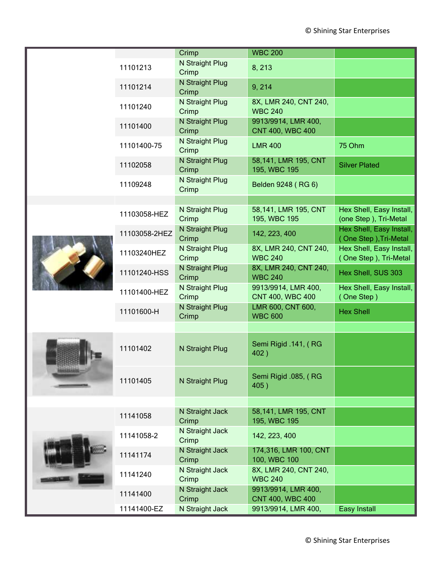|  |               | Crimp                    | <b>WBC 200</b>                                 |                                                   |
|--|---------------|--------------------------|------------------------------------------------|---------------------------------------------------|
|  | 11101213      | N Straight Plug<br>Crimp | 8, 213                                         |                                                   |
|  | 11101214      | N Straight Plug<br>Crimp | 9, 214                                         |                                                   |
|  | 11101240      | N Straight Plug<br>Crimp | 8X, LMR 240, CNT 240,<br><b>WBC 240</b>        |                                                   |
|  | 11101400      | N Straight Plug<br>Crimp | 9913/9914, LMR 400,<br><b>CNT 400, WBC 400</b> |                                                   |
|  | 11101400-75   | N Straight Plug<br>Crimp | <b>LMR 400</b>                                 | 75 Ohm                                            |
|  | 11102058      | N Straight Plug<br>Crimp | 58,141, LMR 195, CNT<br>195, WBC 195           | <b>Silver Plated</b>                              |
|  | 11109248      | N Straight Plug<br>Crimp | Belden 9248 (RG 6)                             |                                                   |
|  |               | N Straight Plug          | 58,141, LMR 195, CNT                           | Hex Shell, Easy Install,                          |
|  | 11103058-HEZ  | Crimp                    | 195, WBC 195                                   | (one Step), Tri-Metal                             |
|  | 11103058-2HEZ | N Straight Plug<br>Crimp | 142, 223, 400                                  | Hex Shell, Easy Install,<br>(One Step), Tri-Metal |
|  | 11103240HEZ   | N Straight Plug<br>Crimp | 8X, LMR 240, CNT 240,<br><b>WBC 240</b>        | Hex Shell, Easy Install,<br>(One Step), Tri-Metal |
|  | 11101240-HSS  | N Straight Plug<br>Crimp | 8X, LMR 240, CNT 240,<br><b>WBC 240</b>        | Hex Shell, SUS 303                                |
|  | 11101400-HEZ  | N Straight Plug<br>Crimp | 9913/9914, LMR 400,<br>CNT 400, WBC 400        | Hex Shell, Easy Install,<br>(One Step)            |
|  | 11101600-H    | N Straight Plug<br>Crimp | LMR 600, CNT 600,<br><b>WBC 600</b>            | <b>Hex Shell</b>                                  |
|  |               |                          |                                                |                                                   |
|  | 11101402      | N Straight Plug          | Semi Rigid .141, (RG<br>402)                   |                                                   |
|  | 11101405      | N Straight Plug          | Semi Rigid .085, (RG<br>405)                   |                                                   |
|  |               |                          |                                                |                                                   |
|  | 11141058      | N Straight Jack<br>Crimp | 58,141, LMR 195, CNT<br>195, WBC 195           |                                                   |
|  | 11141058-2    | N Straight Jack<br>Crimp | 142, 223, 400                                  |                                                   |
|  | 11141174      | N Straight Jack<br>Crimp | 174,316, LMR 100, CNT<br>100, WBC 100          |                                                   |
|  | 11141240      | N Straight Jack<br>Crimp | 8X, LMR 240, CNT 240,<br><b>WBC 240</b>        |                                                   |
|  | 11141400      | N Straight Jack<br>Crimp | 9913/9914, LMR 400,<br><b>CNT 400, WBC 400</b> |                                                   |
|  | 11141400-EZ   | N Straight Jack          | 9913/9914, LMR 400,                            | Easy Install                                      |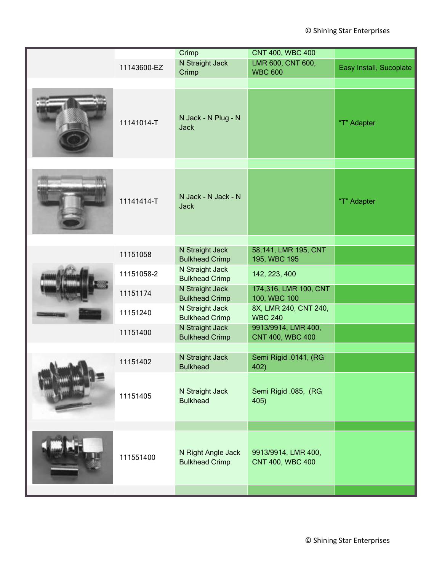|             | Crimp                                       | <b>CNT 400, WBC 400</b>                 |                         |
|-------------|---------------------------------------------|-----------------------------------------|-------------------------|
| 11143600-EZ | N Straight Jack<br>Crimp                    | LMR 600, CNT 600,<br><b>WBC 600</b>     | Easy Install, Sucoplate |
|             |                                             |                                         |                         |
| 11141014-T  | N Jack - N Plug - N<br><b>Jack</b>          |                                         | "T" Adapter             |
|             |                                             |                                         |                         |
| 11141414-T  | N Jack - N Jack - N<br><b>Jack</b>          |                                         | "T" Adapter             |
|             |                                             |                                         |                         |
| 11151058    | N Straight Jack<br><b>Bulkhead Crimp</b>    | 58,141, LMR 195, CNT<br>195, WBC 195    |                         |
| 11151058-2  | N Straight Jack<br><b>Bulkhead Crimp</b>    | 142, 223, 400                           |                         |
| 11151174    | N Straight Jack<br><b>Bulkhead Crimp</b>    | 174,316, LMR 100, CNT<br>100, WBC 100   |                         |
| 11151240    | N Straight Jack<br><b>Bulkhead Crimp</b>    | 8X, LMR 240, CNT 240,<br><b>WBC 240</b> |                         |
| 11151400    | N Straight Jack<br><b>Bulkhead Crimp</b>    | 9913/9914, LMR 400,<br>CNT 400, WBC 400 |                         |
|             |                                             |                                         |                         |
| 11151402    | N Straight Jack<br><b>Bulkhead</b>          | Semi Rigid .0141, (RG<br>402)           |                         |
| 11151405    | N Straight Jack<br><b>Bulkhead</b>          | Semi Rigid .085, (RG<br>405)            |                         |
|             |                                             |                                         |                         |
| 111551400   | N Right Angle Jack<br><b>Bulkhead Crimp</b> | 9913/9914, LMR 400,<br>CNT 400, WBC 400 |                         |
|             |                                             |                                         |                         |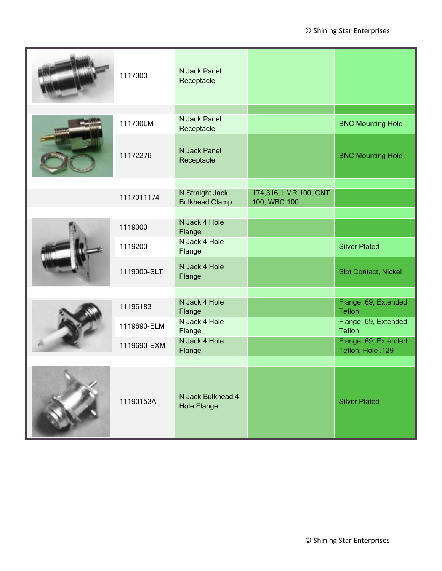|  | 1117000     | N Jack Panel<br>Receptacle               |                                       |                                           |
|--|-------------|------------------------------------------|---------------------------------------|-------------------------------------------|
|  | 111700LM    | N Jack Panel<br>Receptacle               |                                       | <b>BNC Mounting Hole</b>                  |
|  | 11172276    | N Jack Panel<br>Receptacle               |                                       | <b>BNC Mounting Hole</b>                  |
|  | 1117011174  | N Straight Jack<br><b>Bulkhead Clamp</b> | 174,316, LMR 100, CNT<br>100, WBC 100 |                                           |
|  |             | N Jack 4 Hole                            |                                       |                                           |
|  | 1119000     | Flange                                   |                                       |                                           |
|  | 1119200     | N Jack 4 Hole<br>Flange                  |                                       | <b>Silver Plated</b>                      |
|  | 1119000-SLT | N Jack 4 Hole<br>Flange                  |                                       | <b>Slot Contact, Nickel</b>               |
|  |             |                                          |                                       |                                           |
|  | 11196183    | N Jack 4 Hole<br>Flange                  |                                       | Flange .69, Extended<br><b>Teflon</b>     |
|  | 1119690-ELM | N Jack 4 Hole<br>Flange                  |                                       | Flange .69, Extended<br><b>Teflon</b>     |
|  | 1119690-EXM | N Jack 4 Hole<br>Flange                  |                                       | Flange .69, Extended<br>Teflon, Hole .129 |
|  |             |                                          |                                       |                                           |
|  | 11190153A   | N Jack Bulkhead 4<br><b>Hole Flange</b>  |                                       | <b>Silver Plated</b>                      |